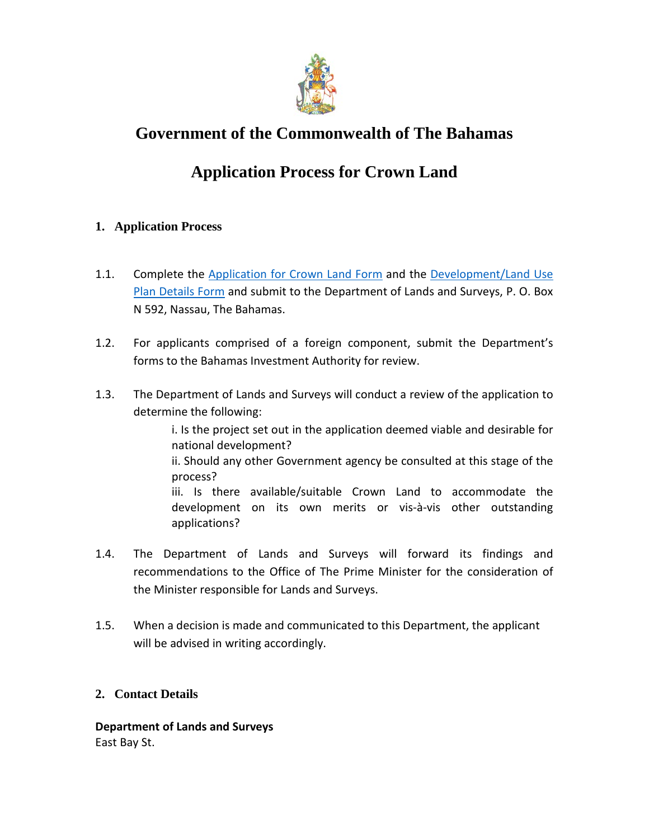

# **Government of the Commonwealth of The Bahamas**

# **Application Process for Crown Land**

### **1. Application Process**

- 1.1. Complete the [Application for Crown Land Form](http://www.bahamas.gov.bs/wps/wcm/connect/3bbad6be-d355-4481-9ded-57c2f9f94551/CROWN+LAND+APPL.pdf?MOD=AJPERES) and the Development/Land Use [Plan Details Form](http://www.bahamas.gov.bs/wps/wcm/connect/2197f9d1-720e-4f5e-b772-46bee3cc0268/DEVELOPMENT+LAND+USE+PLAN+DETAILS+FORM.pdf?MOD=AJPERES) and submit to the Department of Lands and Surveys, P. O. Box N 592, Nassau, The Bahamas.
- 1.2. For applicants comprised of a foreign component, submit the Department's forms to the Bahamas Investment Authority for review.
- 1.3. The Department of Lands and Surveys will conduct a review of the application to determine the following:

i. Is the project set out in the application deemed viable and desirable for national development? ii. Should any other Government agency be consulted at this stage of the process? iii. Is there available/suitable Crown Land to accommodate the development on its own merits or vis-à-vis other outstanding applications?

- 1.4. The Department of Lands and Surveys will forward its findings and recommendations to the Office of The Prime Minister for the consideration of the Minister responsible for Lands and Surveys.
- 1.5. When a decision is made and communicated to this Department, the applicant will be advised in writing accordingly.

#### **2. Contact Details**

**Department of Lands and Surveys** East Bay St.